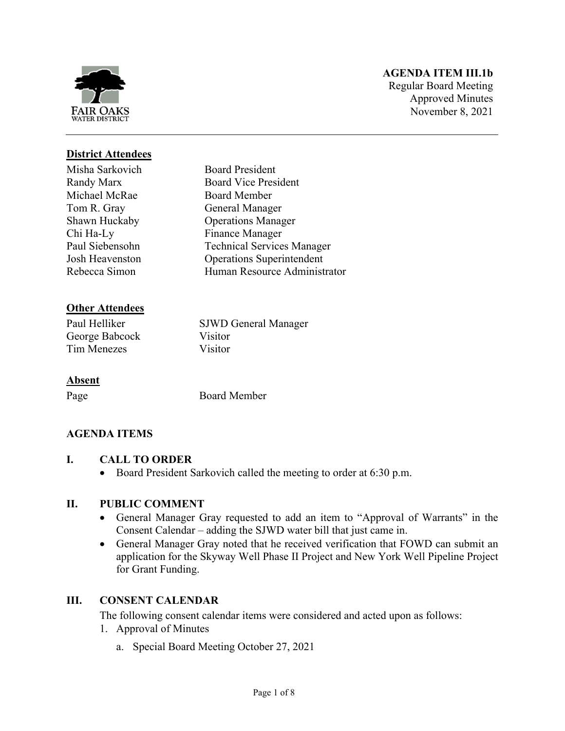

# **AGENDA ITEM III.1b**

Regular Board Meeting Approved Minutes November 8, 2021

# **District Attendees**

Misha Sarkovich Randy Marx Michael McRae Tom R. Gray Shawn Huckaby Chi Ha-Ly Paul Siebensohn Josh Heavenston Rebecca Simon

# **Other Attendees**

Paul Helliker SJWD General Manager George Babcock Visitor Tim Menezes Visitor

# **Absent**

Page Board Member

Board President Board Vice President Board Member General Manager Operations Manager Finance Manager

Technical Services Manager Operations Superintendent Human Resource Administrator

# **AGENDA ITEMS**

- **I. CALL TO ORDER** 
	- Board President Sarkovich called the meeting to order at 6:30 p.m.

# **II. PUBLIC COMMENT**

- General Manager Gray requested to add an item to "Approval of Warrants" in the Consent Calendar – adding the SJWD water bill that just came in.
- General Manager Gray noted that he received verification that FOWD can submit an application for the Skyway Well Phase II Project and New York Well Pipeline Project for Grant Funding.

# **III. CONSENT CALENDAR**

The following consent calendar items were considered and acted upon as follows:

- 1. Approval of Minutes
	- a. Special Board Meeting October 27, 2021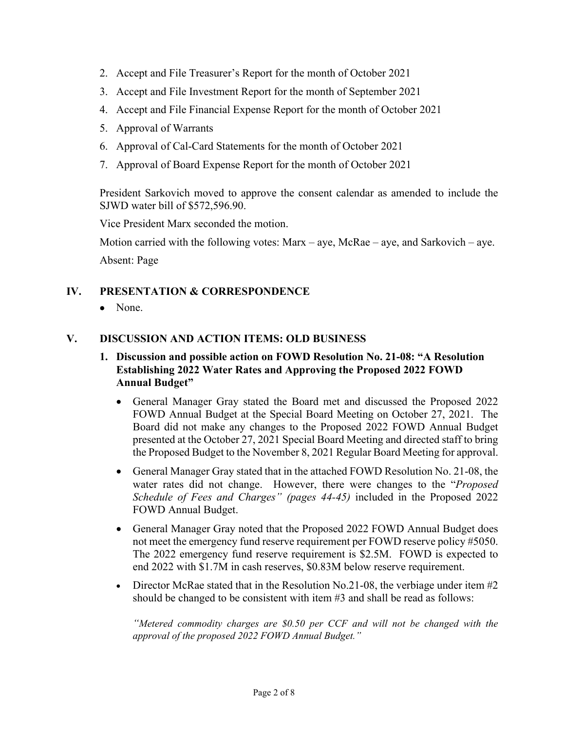- 2. Accept and File Treasurer's Report for the month of October 2021
- 3. Accept and File Investment Report for the month of September 2021
- 4. Accept and File Financial Expense Report for the month of October 2021
- 5. Approval of Warrants
- 6. Approval of Cal-Card Statements for the month of October 2021
- 7. Approval of Board Expense Report for the month of October 2021

President Sarkovich moved to approve the consent calendar as amended to include the SJWD water bill of \$572,596.90.

Vice President Marx seconded the motion.

Motion carried with the following votes:  $Max - aye$ ,  $McRae - aye$ , and  $Sarkovich - aye$ . Absent: Page

#### **IV. PRESENTATION & CORRESPONDENCE**

• None.

#### **V. DISCUSSION AND ACTION ITEMS: OLD BUSINESS**

- **1. Discussion and possible action on FOWD Resolution No. 21-08: "A Resolution Establishing 2022 Water Rates and Approving the Proposed 2022 FOWD Annual Budget"** 
	- General Manager Gray stated the Board met and discussed the Proposed 2022 FOWD Annual Budget at the Special Board Meeting on October 27, 2021. The Board did not make any changes to the Proposed 2022 FOWD Annual Budget presented at the October 27, 2021 Special Board Meeting and directed staff to bring the Proposed Budget to the November 8, 2021 Regular Board Meeting for approval.
	- General Manager Gray stated that in the attached FOWD Resolution No. 21-08, the water rates did not change. However, there were changes to the "*Proposed Schedule of Fees and Charges" (pages 44-45)* included in the Proposed 2022 FOWD Annual Budget.
	- General Manager Gray noted that the Proposed 2022 FOWD Annual Budget does not meet the emergency fund reserve requirement per FOWD reserve policy #5050. The 2022 emergency fund reserve requirement is \$2.5M. FOWD is expected to end 2022 with \$1.7M in cash reserves, \$0.83M below reserve requirement.
	- Director McRae stated that in the Resolution No.21-08, the verbiage under item  $\#2$ should be changed to be consistent with item #3 and shall be read as follows:

*"Metered commodity charges are \$0.50 per CCF and will not be changed with the approval of the proposed 2022 FOWD Annual Budget."*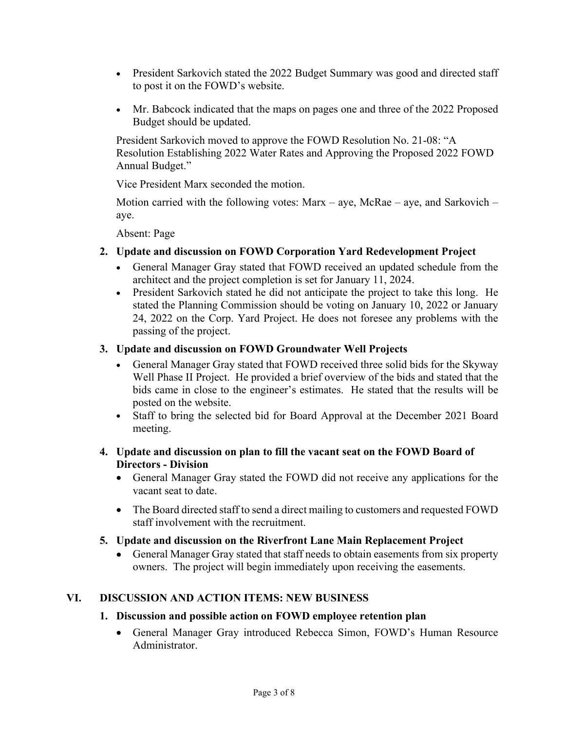- President Sarkovich stated the 2022 Budget Summary was good and directed staff to post it on the FOWD's website.
- Mr. Babcock indicated that the maps on pages one and three of the 2022 Proposed Budget should be updated.

President Sarkovich moved to approve the FOWD Resolution No. 21-08: "A Resolution Establishing 2022 Water Rates and Approving the Proposed 2022 FOWD Annual Budget."

Vice President Marx seconded the motion.

Motion carried with the following votes:  ${\rm Marx - ave}$ ,  ${\rm McRae - ave}$ , and Sarkovich – aye.

Absent: Page

- **2. Update and discussion on FOWD Corporation Yard Redevelopment Project** 
	- General Manager Gray stated that FOWD received an updated schedule from the architect and the project completion is set for January 11, 2024.
	- President Sarkovich stated he did not anticipate the project to take this long. He stated the Planning Commission should be voting on January 10, 2022 or January 24, 2022 on the Corp. Yard Project. He does not foresee any problems with the passing of the project.

# **3. Update and discussion on FOWD Groundwater Well Projects**

- General Manager Gray stated that FOWD received three solid bids for the Skyway Well Phase II Project. He provided a brief overview of the bids and stated that the bids came in close to the engineer's estimates. He stated that the results will be posted on the website.
- Staff to bring the selected bid for Board Approval at the December 2021 Board meeting.

# **4. Update and discussion on plan to fill the vacant seat on the FOWD Board of Directors - Division**

- General Manager Gray stated the FOWD did not receive any applications for the vacant seat to date.
- The Board directed staff to send a direct mailing to customers and requested FOWD staff involvement with the recruitment.

# **5. Update and discussion on the Riverfront Lane Main Replacement Project**

 General Manager Gray stated that staff needs to obtain easements from six property owners. The project will begin immediately upon receiving the easements.

# **VI. DISCUSSION AND ACTION ITEMS: NEW BUSINESS**

# **1. Discussion and possible action on FOWD employee retention plan**

 General Manager Gray introduced Rebecca Simon, FOWD's Human Resource Administrator.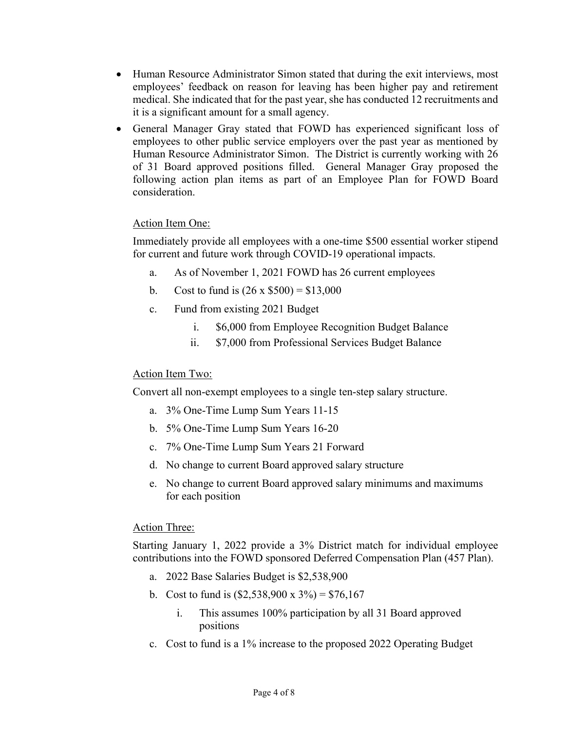- Human Resource Administrator Simon stated that during the exit interviews, most employees' feedback on reason for leaving has been higher pay and retirement medical. She indicated that for the past year, she has conducted 12 recruitments and it is a significant amount for a small agency.
- General Manager Gray stated that FOWD has experienced significant loss of employees to other public service employers over the past year as mentioned by Human Resource Administrator Simon. The District is currently working with 26 of 31 Board approved positions filled. General Manager Gray proposed the following action plan items as part of an Employee Plan for FOWD Board consideration.

# Action Item One:

Immediately provide all employees with a one-time \$500 essential worker stipend for current and future work through COVID-19 operational impacts.

- a. As of November 1, 2021 FOWD has 26 current employees
- b. Cost to fund is  $(26 \times $500) = $13,000$
- c. Fund from existing 2021 Budget
	- i. \$6,000 from Employee Recognition Budget Balance
	- ii. \$7,000 from Professional Services Budget Balance

#### Action Item Two:

Convert all non-exempt employees to a single ten-step salary structure.

- a. 3% One-Time Lump Sum Years 11-15
- b. 5% One-Time Lump Sum Years 16-20
- c. 7% One-Time Lump Sum Years 21 Forward
- d. No change to current Board approved salary structure
- e. No change to current Board approved salary minimums and maximums for each position

#### Action Three:

Starting January 1, 2022 provide a 3% District match for individual employee contributions into the FOWD sponsored Deferred Compensation Plan (457 Plan).

- a. 2022 Base Salaries Budget is \$2,538,900
- b. Cost to fund is  $(\$2,538,900 \times 3\%) = \$76,167$ 
	- i. This assumes 100% participation by all 31 Board approved positions
- c. Cost to fund is a 1% increase to the proposed 2022 Operating Budget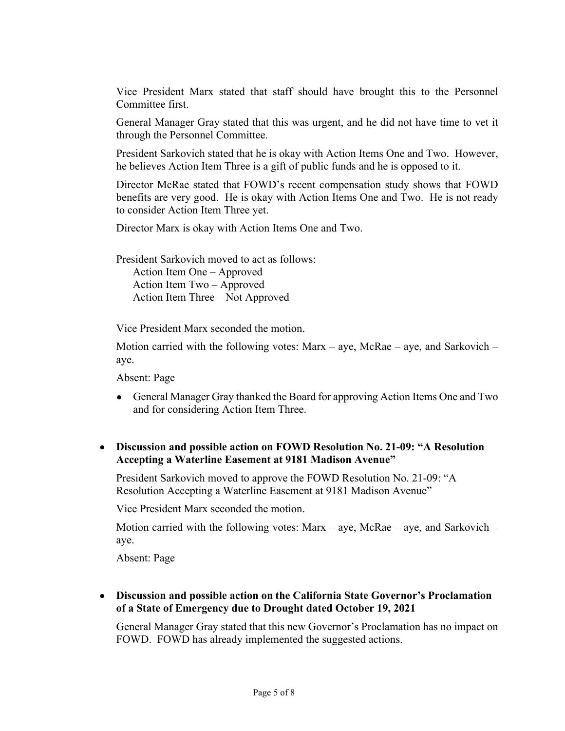Vice President Marx stated that staff should have brought this to the Personnel Committee first.

General Manager Gray stated that this was urgent, and he did not have time to vet it through the Personnel Committee.

President Sarkovich stated that he is okay with Action Items One and Two. However, he believes Action Item Three is a gift of public funds and he is opposed to it.

Director McRae stated that FOWD's recent compensation study shows that FOWD benefits are very good. He is okay with Action Items One and Two. He is not ready to consider Action Item Three yet.

Director Marx is okay with Action Items One and Two.

President Sarkovich moved to act as follows: Action Item One – Approved Action Item Two – Approved Action Item Three – Not Approved

Vice President Marx seconded the motion.

Motion carried with the following votes:  ${\rm Marx - ave}$ ,  ${\rm McRae - ave}$ , and Sarkovich – aye.

Absent: Page

 General Manager Gray thanked the Board for approving Action Items One and Two and for considering Action Item Three.

 **Discussion and possible action on FOWD Resolution No. 21-09: "A Resolution Accepting a Waterline Easement at 9181 Madison Avenue"** 

President Sarkovich moved to approve the FOWD Resolution No. 21-09: "A Resolution Accepting a Waterline Easement at 9181 Madison Avenue"

Vice President Marx seconded the motion.

Motion carried with the following votes: Marx – aye, McRae – aye, and Sarkovich – aye.

Absent: Page

 **Discussion and possible action on the California State Governor's Proclamation of a State of Emergency due to Drought dated October 19, 2021** 

General Manager Gray stated that this new Governor's Proclamation has no impact on FOWD. FOWD has already implemented the suggested actions.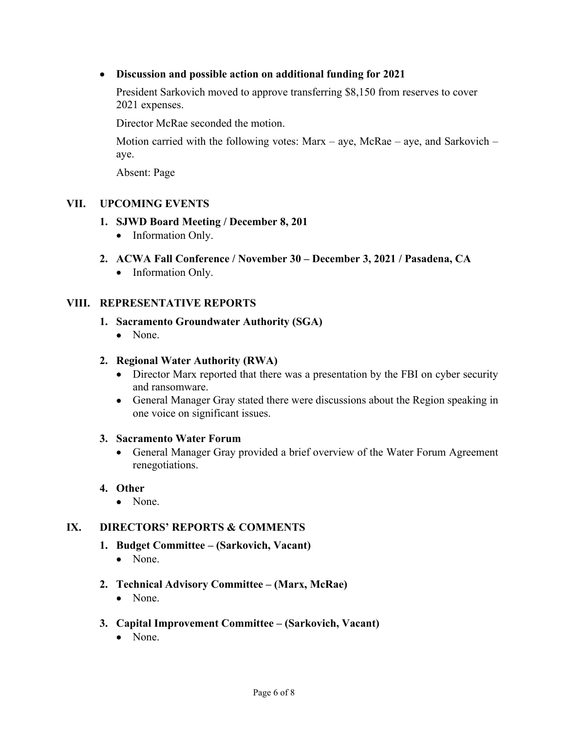# **Discussion and possible action on additional funding for 2021**

President Sarkovich moved to approve transferring \$8,150 from reserves to cover 2021 expenses.

Director McRae seconded the motion.

Motion carried with the following votes: Marx – aye, McRae – aye, and Sarkovich – aye.

Absent: Page

# **VII. UPCOMING EVENTS**

# **1. SJWD Board Meeting / December 8, 201**

- Information Only.
- **2. ACWA Fall Conference / November 30 December 3, 2021 / Pasadena, CA** 
	- Information Only.

# **VIII. REPRESENTATIVE REPORTS**

#### **1. Sacramento Groundwater Authority (SGA)**

• None.

#### **2. Regional Water Authority (RWA)**

- Director Marx reported that there was a presentation by the FBI on cyber security and ransomware.
- General Manager Gray stated there were discussions about the Region speaking in one voice on significant issues.

#### **3. Sacramento Water Forum**

 General Manager Gray provided a brief overview of the Water Forum Agreement renegotiations.

#### **4. Other**

• None.

# **IX. DIRECTORS' REPORTS & COMMENTS**

- **1. Budget Committee (Sarkovich, Vacant)** 
	- None.
- **2. Technical Advisory Committee (Marx, McRae)** 
	- None.
- **3. Capital Improvement Committee (Sarkovich, Vacant)** 
	- None.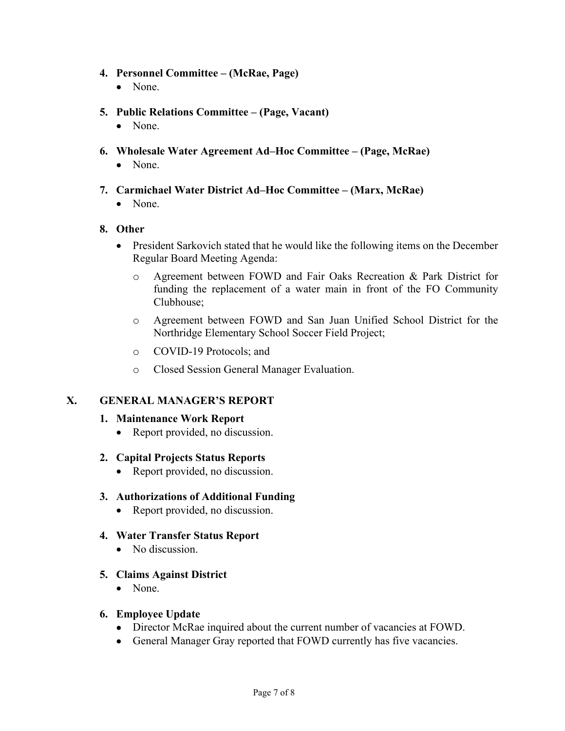#### **4. Personnel Committee – (McRae, Page)**

- None.
- **5. Public Relations Committee (Page, Vacant)** 
	- None.
- **6. Wholesale Water Agreement Ad–Hoc Committee (Page, McRae)** 
	- None.
- **7. Carmichael Water District Ad–Hoc Committee (Marx, McRae)** 
	- None.

#### **8. Other**

- President Sarkovich stated that he would like the following items on the December Regular Board Meeting Agenda:
	- o Agreement between FOWD and Fair Oaks Recreation & Park District for funding the replacement of a water main in front of the FO Community Clubhouse;
	- o Agreement between FOWD and San Juan Unified School District for the Northridge Elementary School Soccer Field Project;
	- o COVID-19 Protocols; and
	- o Closed Session General Manager Evaluation.

# **X. GENERAL MANAGER'S REPORT**

#### **1. Maintenance Work Report**

• Report provided, no discussion.

#### **2. Capital Projects Status Reports**

• Report provided, no discussion.

#### **3. Authorizations of Additional Funding**

- Report provided, no discussion.
- **4. Water Transfer Status Report** 
	- No discussion.

# **5. Claims Against District**

• None.

#### **6. Employee Update**

- Director McRae inquired about the current number of vacancies at FOWD.
- General Manager Gray reported that FOWD currently has five vacancies.